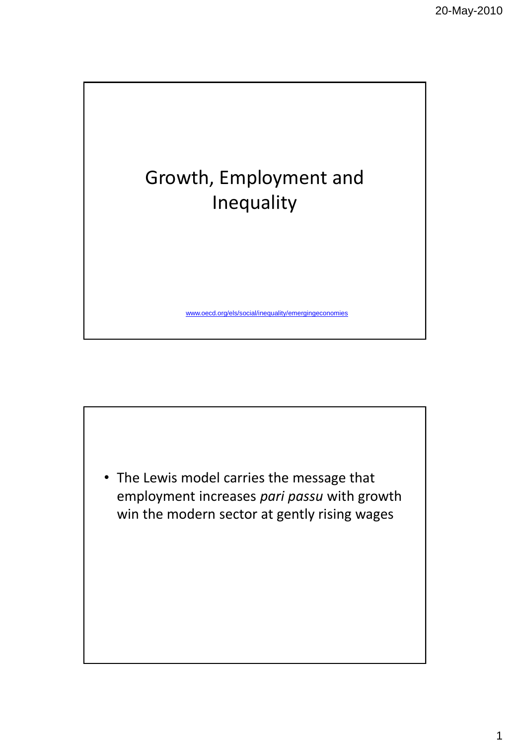

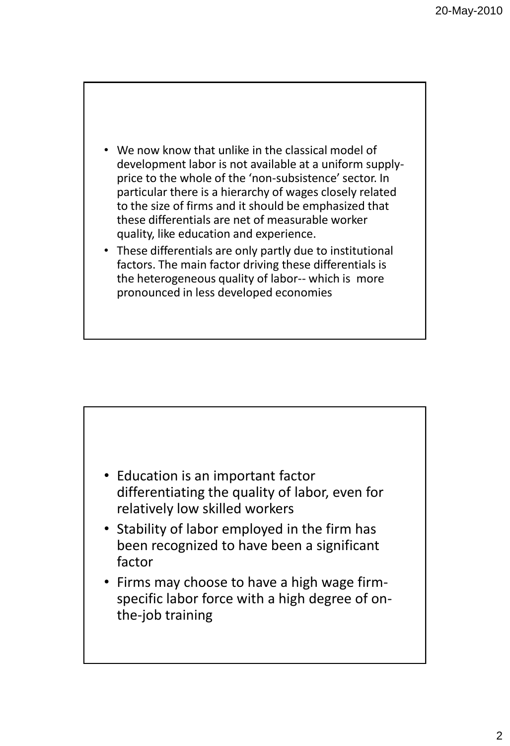

• These differentials are only partly due to institutional factors. The main factor driving these differentials is the heterogeneous quality of labor-- which is more pronounced in less developed economies



- Stability of labor employed in the firm has been recognized to have been a significant factor
- Firms may choose to have a high wage firmspecific labor force with a high degree of onthe-job training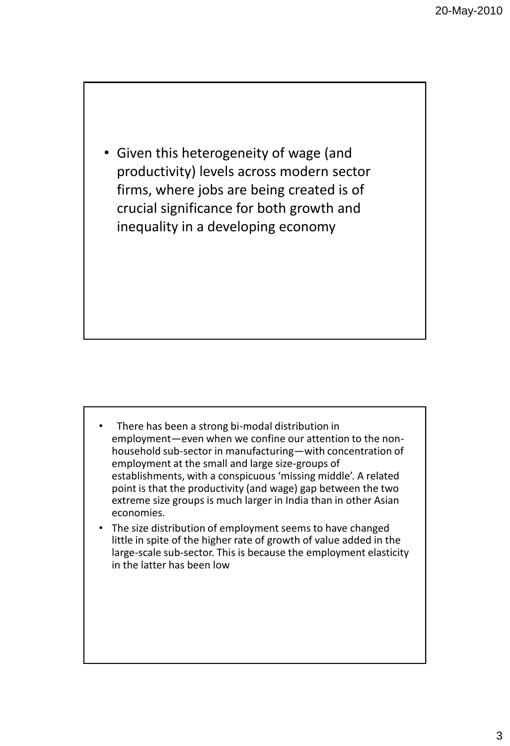• Given this heterogeneity of wage (and productivity) levels across modern sector firms, where jobs are being created is of crucial significance for both growth and inequality in a developing economy

- There has been a strong bi-modal distribution in employment—even when we confine our attention to the nonhousehold sub-sector in manufacturing—with concentration of employment at the small and large size-groups of establishments, with a conspicuous 'missing middle'. A related point is that the productivity (and wage) gap between the two extreme size groups is much larger in India than in other Asian economies.
- The size distribution of employment seems to have changed little in spite of the higher rate of growth of value added in the large-scale sub-sector. This is because the employment elasticity in the latter has been low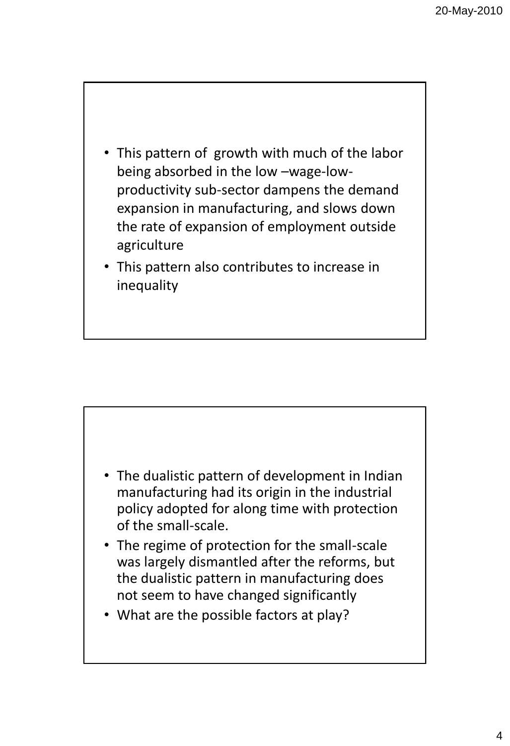

• This pattern also contributes to increase in inequality



- The regime of protection for the small-scale was largely dismantled after the reforms, but the dualistic pattern in manufacturing does not seem to have changed significantly
- What are the possible factors at play?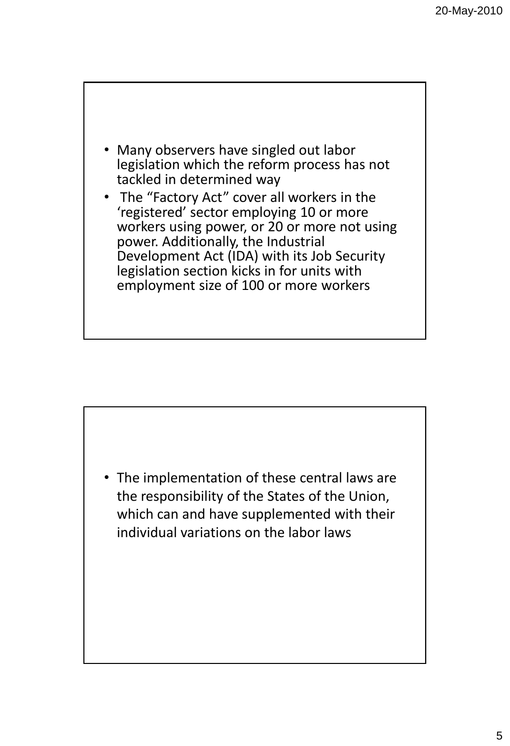

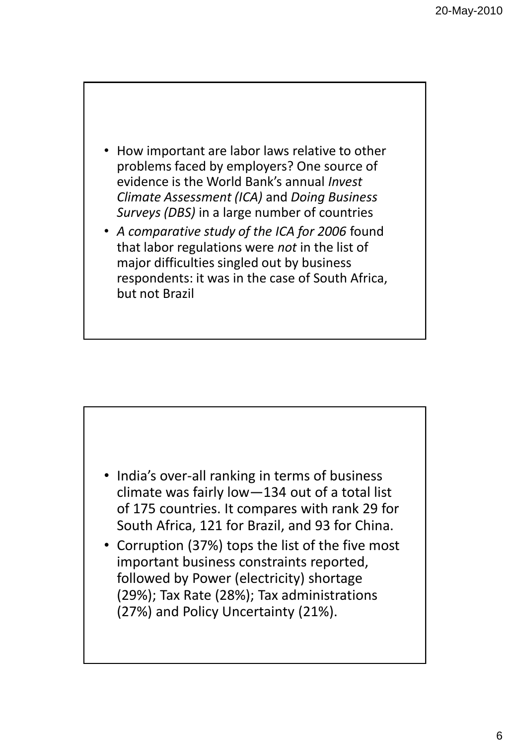- How important are labor laws relative to other problems faced by employers? One source of evidence is the World Bank's annual *Invest Climate Assessment (ICA)* and *Doing Business Surveys (DBS)* in a large number of countries
- *A comparative study of the ICA for 2006* found that labor regulations were *not* in the list of major difficulties singled out by business respondents: it was in the case of South Africa, but not Brazil



• Corruption (37%) tops the list of the five most important business constraints reported, followed by Power (electricity) shortage (29%); Tax Rate (28%); Tax administrations (27%) and Policy Uncertainty (21%).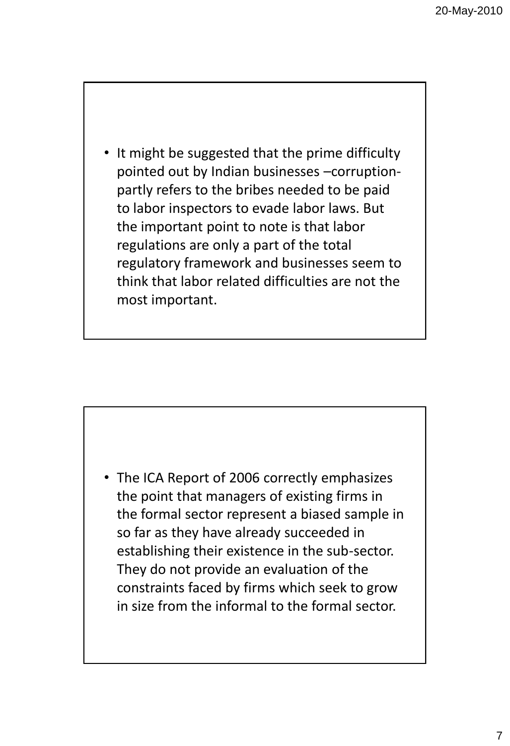• It might be suggested that the prime difficulty pointed out by Indian businesses –corruptionpartly refers to the bribes needed to be paid to labor inspectors to evade labor laws. But the important point to note is that labor regulations are only a part of the total regulatory framework and businesses seem to think that labor related difficulties are not the most important.

• The ICA Report of 2006 correctly emphasizes the point that managers of existing firms in the formal sector represent a biased sample in so far as they have already succeeded in establishing their existence in the sub-sector. They do not provide an evaluation of the constraints faced by firms which seek to grow in size from the informal to the formal sector.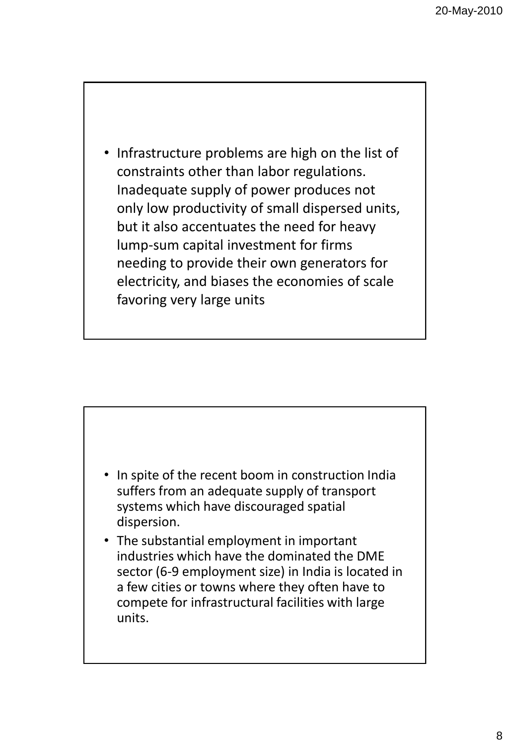• Infrastructure problems are high on the list of constraints other than labor regulations. Inadequate supply of power produces not only low productivity of small dispersed units, but it also accentuates the need for heavy lump-sum capital investment for firms needing to provide their own generators for electricity, and biases the economies of scale favoring very large units

- In spite of the recent boom in construction India suffers from an adequate supply of transport systems which have discouraged spatial dispersion.
- The substantial employment in important industries which have the dominated the DME sector (6-9 employment size) in India is located in a few cities or towns where they often have to compete for infrastructural facilities with large units.